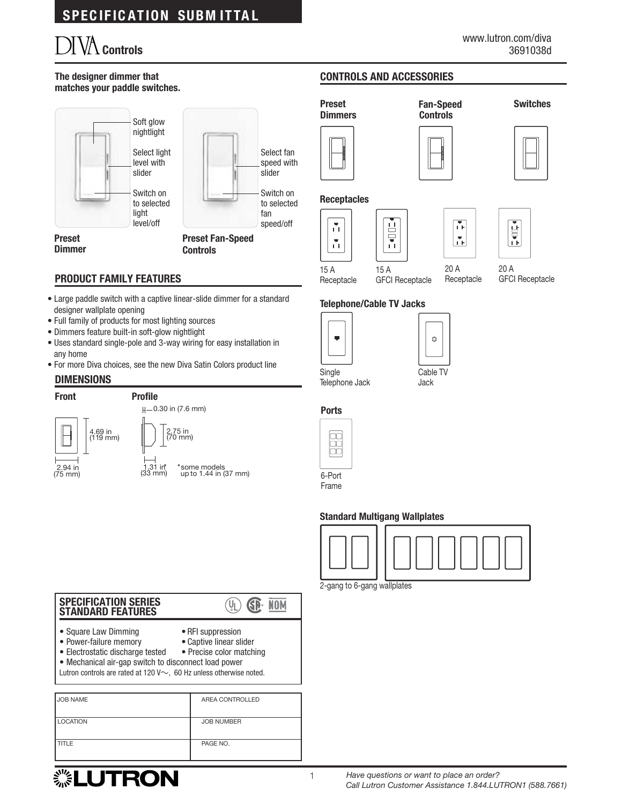### **SPECIFICATION SUBM ITTAL**

#### 3691038d www.lutron.com/diva

# **Controls**

**The designer dimmer that matches your paddle switches.**





**Preset Dimmer**

**Controls**

#### **PRODUCT FAMILY FEATURES**

- Large paddle switch with a captive linear-slide dimmer for a standard designer wallplate opening
- Full family of products for most lighting sources
- Dimmers feature built-in soft-glow nightlight
- Uses standard single-pole and 3-way wiring for easy installation in any home
- For more Diva choices, see the new Diva Satin Colors product line

#### **DIMENSIONS**

4.69 in (119 mm)



2.94 in (75 mm)

 $H - 0.30$  in (7.6 mm)



**\*** some models up to 1.44 in (37 mm)









GFCI Receptacle

15 A **Receptacle** 15 A GFCI Receptacle

#### 20 A Receptacle

 $\overline{\cdot}$ 

Ě.

#### **Telephone/Cable TV Jacks**





Jack

# **Ports**

**Single** Telephone Jack

 $\blacksquare$ 



6-Port Frame

#### **Standard Multigang Wallplates**



2-gang to 6-gang wallplates



# **. LUTRON**

#### *Have questions or want to place an order? Call Lutron Customer Assistance 1.844.LUTRON1 (588.7661)*





**CONTROLS AND ACCESSORIES**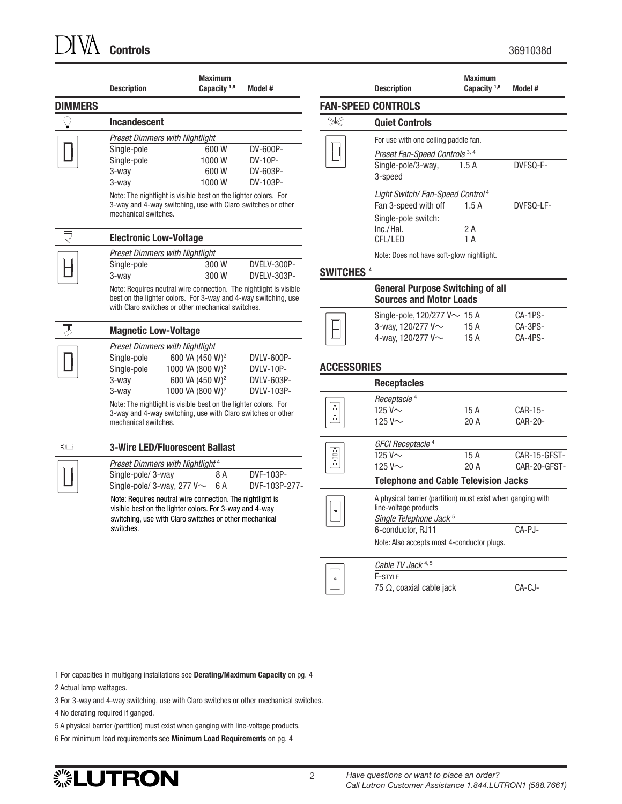|                | <b>Description</b>                                                                    | <b>Maximum</b><br>Capacity <sup>1,6</sup>                                                                                                                                                                                               | Model #                                             |
|----------------|---------------------------------------------------------------------------------------|-----------------------------------------------------------------------------------------------------------------------------------------------------------------------------------------------------------------------------------------|-----------------------------------------------------|
| <b>DIMMERS</b> |                                                                                       |                                                                                                                                                                                                                                         |                                                     |
|                | <b>Incandescent</b>                                                                   |                                                                                                                                                                                                                                         |                                                     |
|                | <b>Preset Dimmers with Nightlight</b><br>Single-pole<br>Single-pole<br>3-way<br>3-way | 600 W<br>1000 W<br>600 W<br>1000W<br>Note: The nightlight is visible best on the lighter colors. For                                                                                                                                    | DV-600P-<br>DV-10P-<br>DV-603P-<br>DV-103P-         |
|                | mechanical switches.<br><b>Electronic Low-Voltage</b>                                 | 3-way and 4-way switching, use with Claro switches or other                                                                                                                                                                             |                                                     |
|                | <b>Preset Dimmers with Nightlight</b><br>Single-pole<br>3-way                         | 300 W<br>300 W<br>Note: Requires neutral wire connection. The nightlight is visible<br>best on the lighter colors. For 3-way and 4-way switching, use                                                                                   | DVELV-300P-<br>DVELV-303P-                          |
|                | <b>Magnetic Low-Voltage</b>                                                           | with Claro switches or other mechanical switches.                                                                                                                                                                                       |                                                     |
|                | <b>Preset Dimmers with Nightlight</b><br>Single-pole<br>Single-pole<br>3-way<br>3-way | 600 VA (450 W) <sup>2</sup><br>1000 VA (800 W) <sup>2</sup><br>600 VA (450 W) <sup>2</sup><br>1000 VA (800 W) <sup>2</sup>                                                                                                              | DVLV-600P-<br>DVLV-10P-<br>DVLV-603P-<br>DVLV-103P- |
|                | mechanical switches.                                                                  | Note: The nightlight is visible best on the lighter colors. For<br>3-way and 4-way switching, use with Claro switches or other                                                                                                          |                                                     |
| $\Rightarrow$  |                                                                                       | <b>3-Wire LED/Fluorescent Ballast</b>                                                                                                                                                                                                   |                                                     |
|                | Single-pole/ 3-way<br>Single-pole/ 3-way, 277 $V \sim$<br>switches.                   | <b>Preset Dimmers with Nightlight 4</b><br>8 A<br>6 A<br>Note: Requires neutral wire connection. The nightlight is<br>visible best on the lighter colors. For 3-way and 4-way<br>switching, use with Claro switches or other mechanical | DVF-103P-<br>DVF-103P-277-                          |

| <b>Description</b>                                                               | <b>Maximum</b><br>Capacity <sup>1,6</sup> | Model #   |  |  |
|----------------------------------------------------------------------------------|-------------------------------------------|-----------|--|--|
| FAN-SPEED CONTROLS                                                               |                                           |           |  |  |
| <b>Quiet Controls</b>                                                            |                                           |           |  |  |
| For use with one ceiling paddle fan.<br>Preset Fan-Speed Controls <sup>3,4</sup> |                                           |           |  |  |
| Single-pole/3-way,<br>3-speed                                                    | 1.5A                                      | DVFSQ-F-  |  |  |
| Light Switch/Fan-Speed Control <sup>4</sup>                                      |                                           |           |  |  |
| Fan 3-speed with off<br>Single-pole switch:                                      | 1.5A                                      | DVFSQ-LF- |  |  |
| Inc./Hal.<br>CFL/LED                                                             | 2 A<br>1 A                                |           |  |  |
| Note: Does not have soft-glow nightlight.                                        |                                           |           |  |  |

#### **SWITCHES 4**

| <b>General Purpose Switching of all</b><br><b>Sources and Motor Loads</b>                                |                                 |  |  |  |
|----------------------------------------------------------------------------------------------------------|---------------------------------|--|--|--|
| Single-pole, 120/277 $V \sim 15$ A<br>3-way, 120/277 $V \sim$<br>15 A<br>4-way, 120/277 $V \sim$<br>15 A | CA-1PS-<br>CA-3PS-<br>$CA-4PS-$ |  |  |  |

#### **ACCESSORIES**

|                | <b>Receptacles</b>                                                                                                         |      |              |  |  |  |
|----------------|----------------------------------------------------------------------------------------------------------------------------|------|--------------|--|--|--|
|                | Receptacle <sup>4</sup>                                                                                                    |      |              |  |  |  |
| ñ.             | 125 V $\sim$                                                                                                               | 15 A | CAR-15-      |  |  |  |
| $\blacksquare$ | 125 V $\sim$                                                                                                               | 20 A | CAR-20-      |  |  |  |
|                | GFCI Receptacle <sup>4</sup>                                                                                               |      |              |  |  |  |
| ים<br>הי       | 125 V $\sim$                                                                                                               | 15 A | CAR-15-GFST- |  |  |  |
|                | 125 V $\sim$                                                                                                               | 20 A | CAR-20-GFST- |  |  |  |
|                | <b>Telephone and Cable Television Jacks</b>                                                                                |      |              |  |  |  |
|                | A physical barrier (partition) must exist when ganging with<br>line-voltage products<br>Single Telephone Jack <sup>5</sup> |      |              |  |  |  |
|                | 6-conductor, RJ11                                                                                                          |      | CA-PJ-       |  |  |  |
|                | Note: Also accepts most 4-conductor plugs.                                                                                 |      |              |  |  |  |
|                |                                                                                                                            |      |              |  |  |  |
|                | Cable TV Jack 4,5                                                                                                          |      |              |  |  |  |
| Ø.             | F-STYLE                                                                                                                    |      |              |  |  |  |
|                | 75 Ω. coaxial cable iack                                                                                                   |      | CA-CJ-       |  |  |  |

 $75 \Omega$ , coaxial cable jack CA-CJ-

1 For capacities in multigang installations see **Derating/Maximum Capacity** on pg. 4 2 Actual lamp wattages.

3 For 3-way and 4-way switching, use with Claro switches or other mechanical switches.

4 No derating required if ganged.

5 A physical barrier (partition) must exist when ganging with line-voltage products.

6 For minimum load requirements see **Minimum Load Requirements** on pg. 4

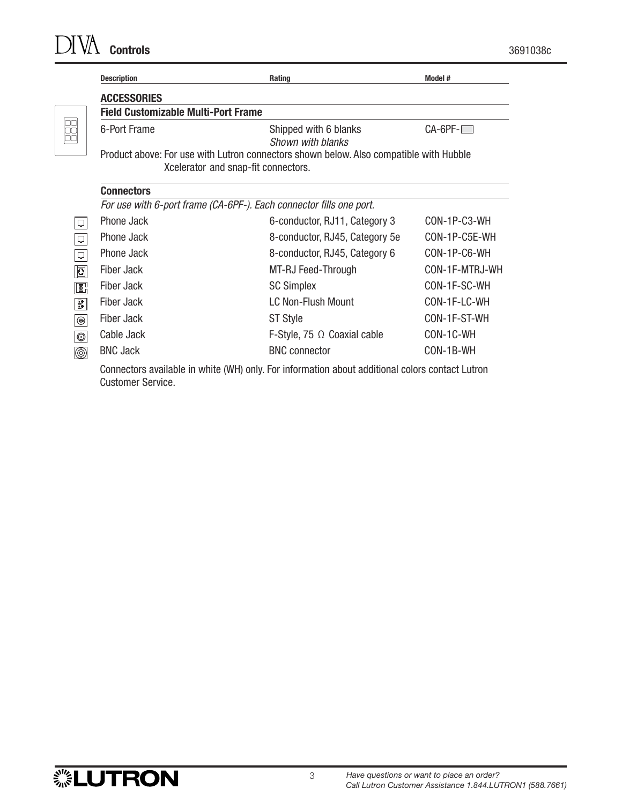|                         | <b>Description</b>                                                                                                            | Rating                                     | Model #        |  |  |  |
|-------------------------|-------------------------------------------------------------------------------------------------------------------------------|--------------------------------------------|----------------|--|--|--|
|                         | <b>ACCESSORIES</b>                                                                                                            |                                            |                |  |  |  |
|                         | <b>Field Customizable Multi-Port Frame</b>                                                                                    |                                            |                |  |  |  |
|                         | 6-Port Frame                                                                                                                  | Shipped with 6 blanks<br>Shown with blanks | $CA-6PF-$      |  |  |  |
|                         | Product above: For use with Lutron connectors shown below. Also compatible with Hubble<br>Xcelerator and snap-fit connectors. |                                            |                |  |  |  |
|                         | <b>Connectors</b>                                                                                                             |                                            |                |  |  |  |
|                         | For use with 6-port frame (CA-6PF-). Each connector fills one port.                                                           |                                            |                |  |  |  |
| Q                       | Phone Jack                                                                                                                    | 6-conductor, RJ11, Category 3              | CON-1P-C3-WH   |  |  |  |
| Q                       | Phone Jack                                                                                                                    | 8-conductor, RJ45, Category 5e             | CON-1P-C5E-WH  |  |  |  |
| $\overline{\mathbb{Q}}$ | Phone Jack                                                                                                                    | 8-conductor, RJ45, Category 6              | CON-1P-C6-WH   |  |  |  |
| 回                       | Fiber Jack                                                                                                                    | MT-RJ Feed-Through                         | CON-1F-MTRJ-WH |  |  |  |
| e,                      | Fiber Jack                                                                                                                    | <b>SC Simplex</b>                          | CON-1F-SC-WH   |  |  |  |
| åå                      | Fiber Jack                                                                                                                    | LC Non-Flush Mount                         | CON-1F-LC-WH   |  |  |  |
| $^{\circledR}$          | Fiber Jack                                                                                                                    | <b>ST Style</b>                            | CON-1F-ST-WH   |  |  |  |
| $\overline{\circ}$      | Cable Jack                                                                                                                    | F-Style, 75 $\Omega$ Coaxial cable         | CON-1C-WH      |  |  |  |
| ⊚                       | <b>BNC Jack</b>                                                                                                               | <b>BNC</b> connector                       | CON-1B-WH      |  |  |  |

Connectors available in white (WH) only. For information about additional colors contact Lutron Customer Service.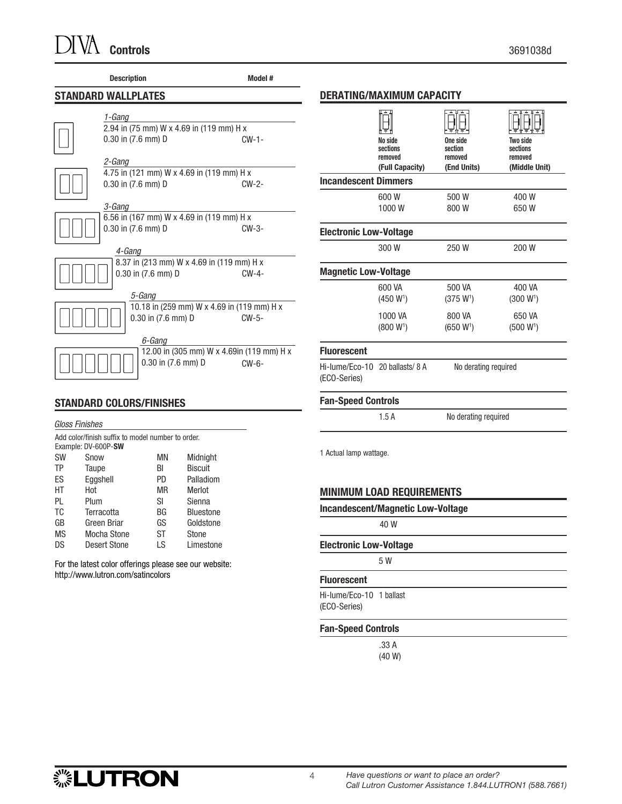|           | <b>STANDARD WALLPLATES</b>                                               |                    |                                           |                                            | <b>DERATING/M</b>              |
|-----------|--------------------------------------------------------------------------|--------------------|-------------------------------------------|--------------------------------------------|--------------------------------|
|           | 1-Gang                                                                   |                    |                                           |                                            |                                |
|           |                                                                          |                    | 2.94 in (75 mm) W x 4.69 in (119 mm) H x  |                                            |                                |
|           | 0.30 in (7.6 mm) D                                                       |                    |                                           | $CW-1-$                                    |                                |
|           | 2-Gang                                                                   |                    |                                           |                                            |                                |
|           |                                                                          |                    | 4.75 in (121 mm) W x 4.69 in (119 mm) H x |                                            | <b>Incandescent I</b>          |
|           | 0.30 in (7.6 mm) D                                                       |                    |                                           | $CW-2-$                                    |                                |
|           | 3-Gang                                                                   |                    |                                           |                                            |                                |
|           |                                                                          |                    | 6.56 in (167 mm) W x 4.69 in (119 mm) H x |                                            |                                |
|           | 0.30 in (7.6 mm) D                                                       |                    |                                           | $CW-3-$                                    | <b>Electronic Low</b>          |
|           | 4-Gang                                                                   |                    |                                           |                                            |                                |
|           |                                                                          | 0.30 in (7.6 mm) D | 8.37 in (213 mm) W x 4.69 in (119 mm) H x | $CW-4-$                                    | <b>Magnetic Low-</b>           |
|           |                                                                          |                    |                                           |                                            |                                |
|           |                                                                          | 5-Gang             |                                           |                                            |                                |
|           |                                                                          |                    |                                           | 10.18 in (259 mm) W x 4.69 in (119 mm) H x |                                |
|           |                                                                          | 0.30 in (7.6 mm) D |                                           | $CW-5-$                                    |                                |
|           |                                                                          | 6-Gang             |                                           |                                            |                                |
|           |                                                                          |                    |                                           | 12.00 in (305 mm) W x 4.69in (119 mm) H x  | <b>Fluorescent</b>             |
|           |                                                                          | 0.30 in (7.6 mm) D |                                           | $CW-6-$                                    | Hi-lume/Eco-10<br>(ECO-Series) |
|           | <b>STANDARD COLORS/FINISHES</b>                                          |                    |                                           |                                            | <b>Fan-Speed Cor</b>           |
|           | <b>Gloss Finishes</b>                                                    |                    |                                           |                                            |                                |
|           | Add color/finish suffix to model number to order.<br>Example: DV-600P-SW |                    |                                           |                                            |                                |
| <b>SW</b> | Snow                                                                     | ΜN                 | Midnight                                  |                                            | 1 Actual lamp watta            |
| <b>TP</b> | Taupe                                                                    | BI                 | <b>Biscuit</b>                            |                                            |                                |
| <b>ES</b> | Eggshell                                                                 | PD.                | Palladiom                                 |                                            |                                |
| <b>HT</b> | Hot                                                                      | MR                 | Merlot                                    |                                            | <b>MINIMUM LO</b>              |
| PL        | Plum                                                                     | SI                 | Sienna                                    |                                            | Incandescent/                  |
| <b>TC</b> | Terracotta                                                               | BG                 | <b>Bluestone</b>                          |                                            |                                |
| GB        | Green Briar                                                              | GS                 | Goldstone                                 |                                            |                                |
| ΜS        | <b>Mocha Stone</b>                                                       | <b>ST</b>          | Stone                                     |                                            |                                |

**Description Model #**

| <b>MS</b>                                              | Mocha Stone  | ST  | Stone     |  |  |  |  |
|--------------------------------------------------------|--------------|-----|-----------|--|--|--|--|
| DS                                                     | Desert Stone | I S | Limestone |  |  |  |  |
|                                                        |              |     |           |  |  |  |  |
| For the latest color offerings please see our website: |              |     |           |  |  |  |  |
| http://www.lutron.com/ootinooloro                      |              |     |           |  |  |  |  |

http://www.lutron.com/satincolors

### **DERATING/MAXIMUM CAPACITY**

|                                 | No side<br>sections                      | One side<br>section   | Two side<br>sections  |
|---------------------------------|------------------------------------------|-----------------------|-----------------------|
|                                 | removed                                  | removed               | removed               |
|                                 | (Full Capacity)                          | (End Units)           | (Middle Unit)         |
| <b>Incandescent Dimmers</b>     |                                          |                       |                       |
|                                 | 600W<br>1000 W                           | 500 W<br>800W         | 400 W<br>650 W        |
|                                 |                                          |                       |                       |
| <b>Electronic Low-Voltage</b>   |                                          |                       |                       |
|                                 | 300 W                                    | 250 W                 | 200 W                 |
| <b>Magnetic Low-Voltage</b>     |                                          |                       |                       |
|                                 | 600 VA                                   | 500 VA                | 400 VA                |
|                                 | (450 W <sup>1</sup> )                    | (375 W <sup>1</sup> ) | (300 W <sup>1</sup> ) |
|                                 | 1000 VA                                  | 800 VA                | 650 VA                |
|                                 | (800 W <sup>1</sup> )                    | (650 W <sup>1</sup> ) | (500 W <sup>1</sup> ) |
| <b>Fluorescent</b>              |                                          |                       |                       |
| Hi-lume/Eco-10 20 ballasts/ 8 A |                                          | No derating required  |                       |
| (ECO-Series)                    |                                          |                       |                       |
| <b>Fan-Speed Controls</b>       |                                          |                       |                       |
|                                 | 1.5A                                     | No derating required  |                       |
|                                 |                                          |                       |                       |
| 1 Actual lamp wattage.          |                                          |                       |                       |
|                                 | <b>MINIMUM LOAD REQUIREMENTS</b>         |                       |                       |
|                                 | <b>Incandescent/Magnetic Low-Voltage</b> |                       |                       |
|                                 | 40 W                                     |                       |                       |
| <b>Electronic Low-Voltage</b>   |                                          |                       |                       |
|                                 | 5 W                                      |                       |                       |
| <b>Fluorescent</b>              |                                          |                       |                       |
| Hi-lume/Eco-10<br>(ECO-Series)  | 1 ballast                                |                       |                       |
| <b>Fan-Speed Controls</b>       |                                          |                       |                       |
|                                 | .33 A<br>(40 W)                          |                       |                       |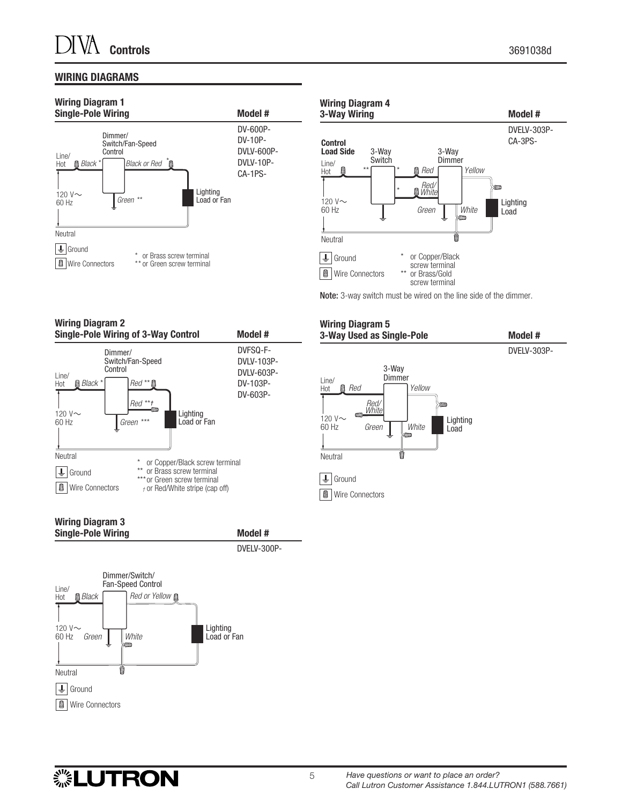



Note: 3-way switch must be wired on the line side of the dimmer.



**Wiring Diagram 3**

**Black** 

**Neutral** 

120  $V \sim$ 60 Hz

Hot



Lighting Load or Fan

DVELV-300P-





Green White

Fan-Speed Control Line/

Dimmer/Switch/

Red or Yellow m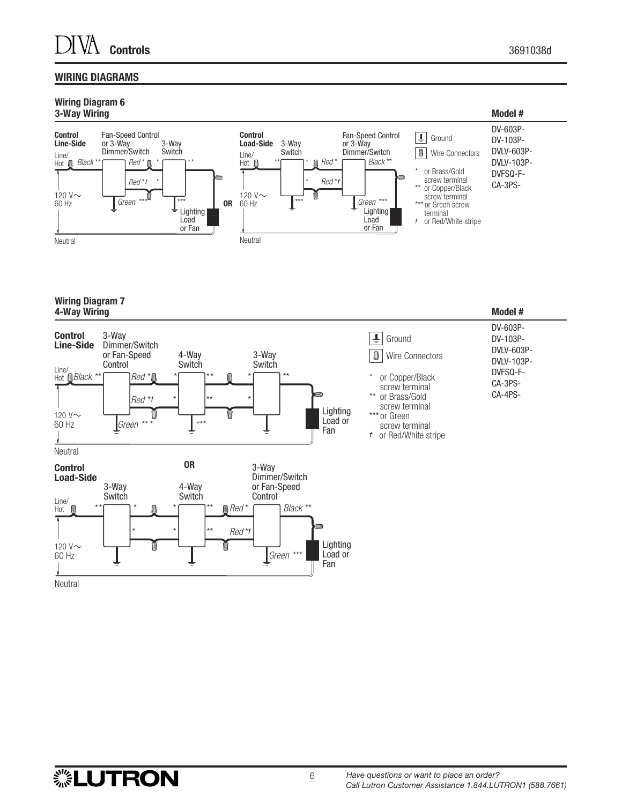## **Wiring Diagram 6**



#### **Wiring Diagram 7 4-Way Wiring Model #**

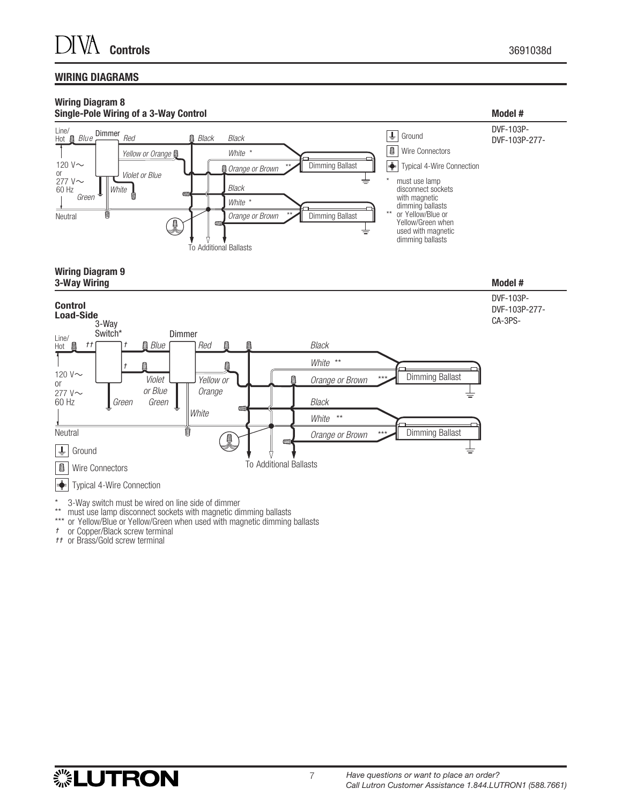#### **Wiring Diagram 8**



**3-Way Wiring Model # Control Load-Side**  Dimmer 3-Way Switch\* Black Red Line/ Hot  $tt$   $\uparrow$   $\uparrow$  **a** Blue



F Typical 4-Wire Connection

\* 3-Way switch must be wired on line side of dimmer

\*\* must use lamp disconnect sockets with magnetic dimming ballasts

\*\*\* or Yellow/Blue or Yellow/Green when used with magnetic dimming ballasts  $t$  or Copper/Black screw terminal

or Copper/Black screw terminal

† † or Brass/Gold screw terminal

DVF-103P-DVF-103P-277- CA-3PS-